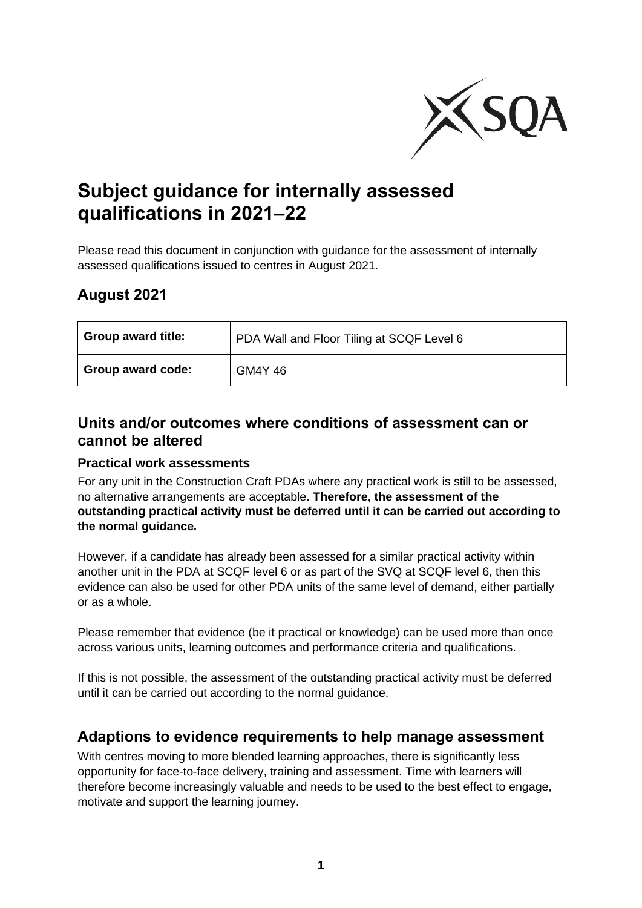

# **Subject guidance for internally assessed qualifications in 2021–22**

Please read this document in conjunction with guidance for the assessment of internally assessed qualifications issued to centres in August 2021.

## **August 2021**

| <b>Group award title:</b> | PDA Wall and Floor Tiling at SCQF Level 6 |
|---------------------------|-------------------------------------------|
| Group award code:         | <b>GM4Y 46</b>                            |

## **Units and/or outcomes where conditions of assessment can or cannot be altered**

#### **Practical work assessments**

For any unit in the Construction Craft PDAs where any practical work is still to be assessed, no alternative arrangements are acceptable. **Therefore, the assessment of the outstanding practical activity must be deferred until it can be carried out according to the normal guidance.**

However, if a candidate has already been assessed for a similar practical activity within another unit in the PDA at SCQF level 6 or as part of the SVQ at SCQF level 6, then this evidence can also be used for other PDA units of the same level of demand, either partially or as a whole.

Please remember that evidence (be it practical or knowledge) can be used more than once across various units, learning outcomes and performance criteria and qualifications.

If this is not possible, the assessment of the outstanding practical activity must be deferred until it can be carried out according to the normal guidance.

## **Adaptions to evidence requirements to help manage assessment**

With centres moving to more blended learning approaches, there is significantly less opportunity for face-to-face delivery, training and assessment. Time with learners will therefore become increasingly valuable and needs to be used to the best effect to engage, motivate and support the learning journey.